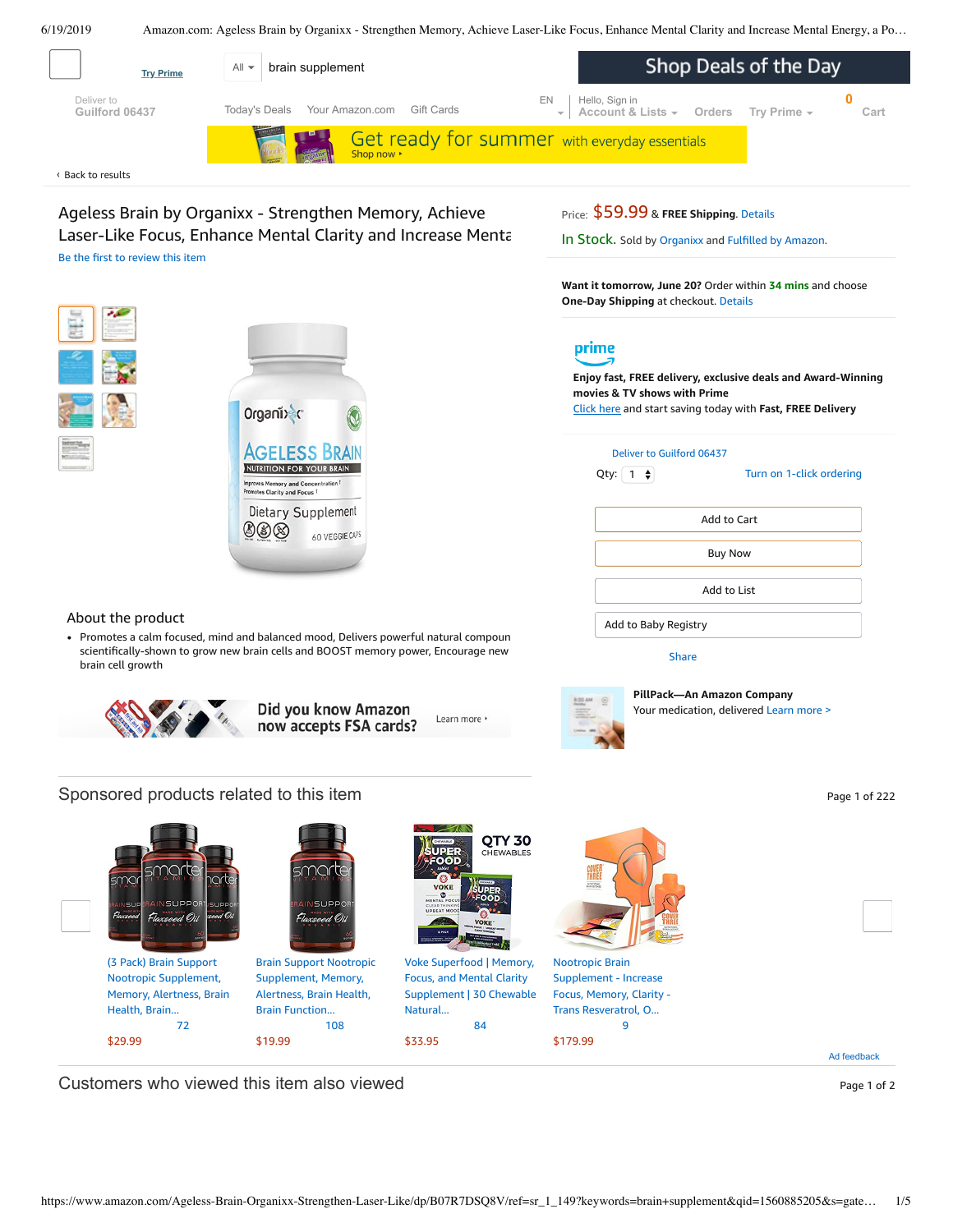<span id="page-0-0"></span>

Laser-Like Focus, Enhance Mental Clarity and Increase Mental Be the first to [review](https://www.amazon.com/review/create-review/ref=dpx_acr_wr_link?asin=B07R7DSQ8V) this item

Organi) c

めめは

In Stock. Sold by [Organixx](https://www.amazon.com/gp/help/seller/at-a-glance.html/ref=dp_merchant_link?ie=UTF8&seller=ASCG65DW3GYMF&isAmazonFulfilled=1) and Fulfilled by [Amazon](https://www.amazon.com/gp/help/customer/display.html?ie=UTF8&ref=dp_fulfillment&nodeId=106096011).

**Want it tomorrow, June 20?** Order within **34 mins** and choose **One-Day Shipping** at checkout. [Details](https://www.amazon.com/gp/help/customer/display.html/ref=ftinfo_dp_?ie=UTF8&nodeId=3510241&pop-up=1)



**Enjoy fast, FREE delivery, exclusive deals and Award-Winning movies & TV shows with Prime** Click here and start saving today with **Fast, FREE Delivery**

| Deliver to Guilford 06437 |                          |  |  |  |  |
|---------------------------|--------------------------|--|--|--|--|
| $1 \div$<br>Qty:          | Turn on 1-click ordering |  |  |  |  |
| Add to Cart               |                          |  |  |  |  |
| <b>Buy Now</b>            |                          |  |  |  |  |

Add to List

Add to Baby Registry

[Share](mailto:?body=I%20want%20to%20recommend%20this%20product%20at%20Amazon.com%0A%0AAgeless%20Brain%20by%20Organixx%20-%20Strengthen%20Memory%2C%20Achieve%20Laser-Like%20Focus%2C%20Enhance%20Mental%20Clarity%20and%20Increase%20Mental%20Energy%2C%20a%20Powerful%20nootropic%0Aby%20Organixx%0ALearn%20more%3A%20https%3A%2F%2Fwww.amazon.com%2Fdp%2FB07R7DSQ8V%2Fref%3Dcm_sw_em_r_mt_dp_U_efOcDbE00RZPG&subject=I%20want%20to%20recommend%20this%20product%20on%20Amazon)



**PillPack—An Amazon Company** Your medication, delivered [Learn](https://www.pillpack.com/?utm_source=amazon&utm_medium=display&utm_campaign=symphony&utm_content=hqp_v1&pf_rd_p=58a00b4d-e1fd-4802-b667-7fbffad77388&pf_rd_s=hero-quick-promo&pf_rd_t=201&pf_rd_i=B07R7DSQ8V&pf_rd_m=ATVPDKIKX0DER&pf_rd_r=EZ0406R0ZQPYGZCH08Q4&pf_rd_r=EZ0406R0ZQPYGZCH08Q4&pf_rd_p=58a00b4d-e1fd-4802-b667-7fbffad77388) more >

## About the product

• Promotes a calm focused, mind and balanced mood, Delivers powerful natural compoun scientifically-shown to grow new brain cells and BOOST memory power, Encourage new brain cell growth

Dietary Supplement

60 VEGGIE CAPS





## Sponsored products related to this item **Page 1** of 222



Ad feedback

Customers who viewed this item also viewed **Page 1 of 2** Page 1 of 2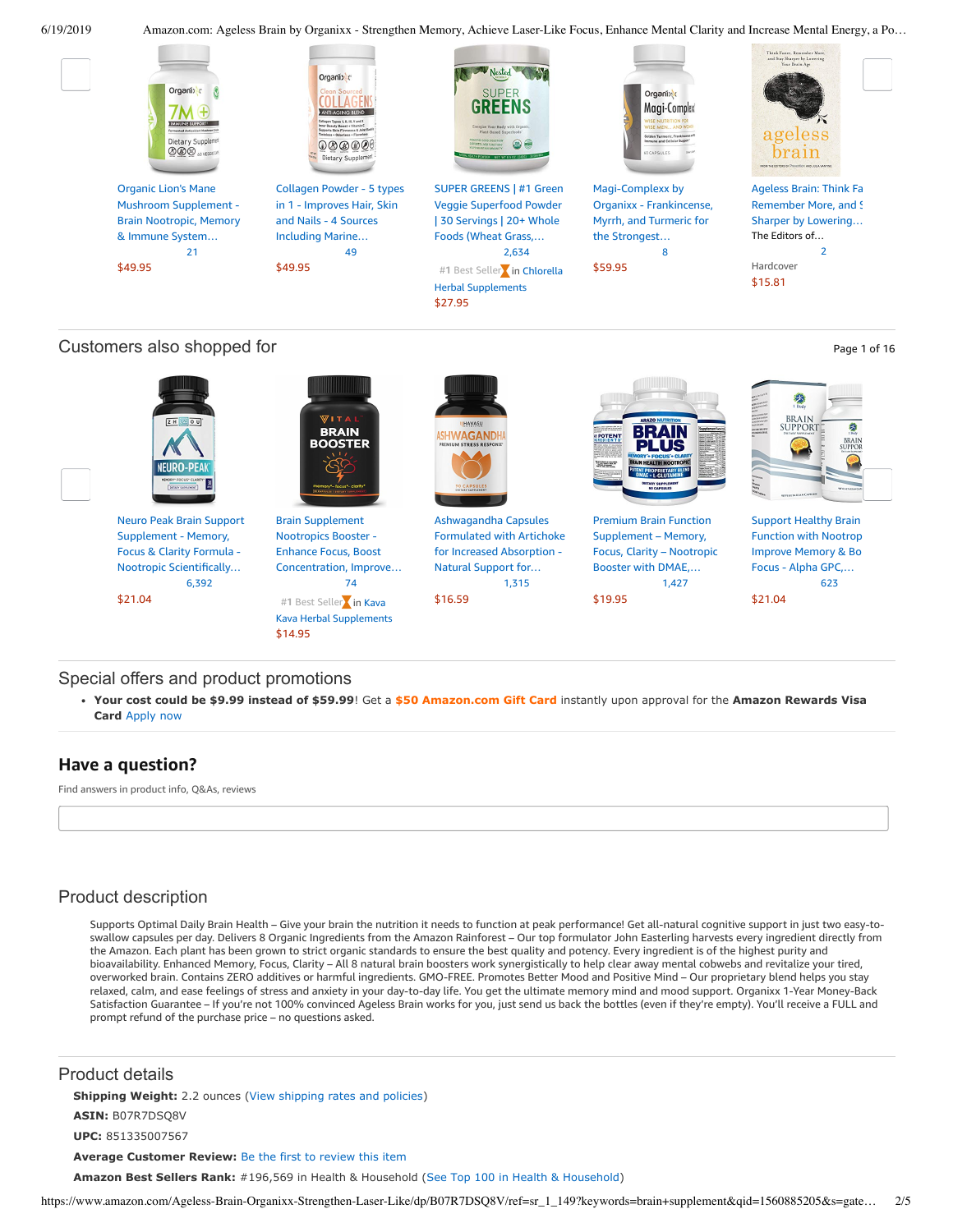Premium Brain Function [Supplement](https://www.amazon.com/Premium-Brain-Function-Supplement-L-Glutamine/dp/B01GV4IC4Y/ref=pd_day0_c_121_4/143-6729050-3493109?_encoding=UTF8&pd_rd_i=B01GV4IC4Y&pd_rd_r=81352ddf-92c1-11e9-a12a-75d5d8bcecb3&pd_rd_w=Ih4SM&pd_rd_wg=DDG1q&pf_rd_p=fda7cfe5-3364-4578-ae5e-ac4ab3645932&pf_rd_r=EZ0406R0ZQPYGZCH08Q4&psc=1&refRID=EZ0406R0ZQPYGZCH08Q4) – Memory, Focus, Clarity – Nootropic Booster with DMAE,…

BRAIN

ынс

[\\$19.95](https://www.amazon.com/Premium-Brain-Function-Supplement-L-Glutamine/dp/B01GV4IC4Y/ref=pd_day0_c_121_4/143-6729050-3493109?_encoding=UTF8&pd_rd_i=B01GV4IC4Y&pd_rd_r=81352ddf-92c1-11e9-a12a-75d5d8bcecb3&pd_rd_w=Ih4SM&pd_rd_wg=DDG1q&pf_rd_p=fda7cfe5-3364-4578-ae5e-ac4ab3645932&pf_rd_r=EZ0406R0ZQPYGZCH08Q4&psc=1&refRID=EZ0406R0ZQPYGZCH08Q4)

[1,427](https://www.amazon.com/product-reviews/B01GV4IC4Y/ref=pd_day0_c_121_cr_4/143-6729050-3493109?ie=UTF8&pd_rd_i=B01GV4IC4Y&pd_rd_r=81352ddf-92c1-11e9-a12a-75d5d8bcecb3&pd_rd_w=Ih4SM&pd_rd_wg=DDG1q&pf_rd_p=fda7cfe5-3364-4578-ae5e-ac4ab3645932&pf_rd_r=EZ0406R0ZQPYGZCH08Q4&refRID=EZ0406R0ZQPYGZCH08Q4)

Support Healthy Brain [Function](https://www.amazon.com/Support-Healthy-Function-Improve-Nootropics/dp/B01NCTY3HW/ref=pd_day0_c_121_5/143-6729050-3493109?_encoding=UTF8&pd_rd_i=B01NCTY3HW&pd_rd_r=81352ddf-92c1-11e9-a12a-75d5d8bcecb3&pd_rd_w=Ih4SM&pd_rd_wg=DDG1q&pf_rd_p=fda7cfe5-3364-4578-ae5e-ac4ab3645932&pf_rd_r=EZ0406R0ZQPYGZCH08Q4&psc=1&refRID=EZ0406R0ZQPYGZCH08Q4) with Nootrop Improve Memory & Bo Focus - Alpha GPC,… [623](https://www.amazon.com/product-reviews/B01NCTY3HW/ref=pd_day0_c_121_cr_5/143-6729050-3493109?ie=UTF8&pd_rd_i=B01NCTY3HW&pd_rd_r=81352ddf-92c1-11e9-a12a-75d5d8bcecb3&pd_rd_w=Ih4SM&pd_rd_wg=DDG1q&pf_rd_p=fda7cfe5-3364-4578-ae5e-ac4ab3645932&pf_rd_r=EZ0406R0ZQPYGZCH08Q4&refRID=EZ0406R0ZQPYGZCH08Q4)

a



## Customers also shopped for  $P_{\text{age 1 of 16}}$



[\\$14.95](https://www.amazon.com/Brain-Supplement-Nootropics-Booster-Concentration/dp/B07RP44QPT/ref=pd_day0_c_121_2/143-6729050-3493109?_encoding=UTF8&pd_rd_i=B07RP44QPT&pd_rd_r=81352ddf-92c1-11e9-a12a-75d5d8bcecb3&pd_rd_w=Ih4SM&pd_rd_wg=DDG1q&pf_rd_p=fda7cfe5-3364-4578-ae5e-ac4ab3645932&pf_rd_r=EZ0406R0ZQPYGZCH08Q4&psc=1&refRID=EZ0406R0ZQPYGZCH08Q4)

## Special offers and product promotions

**[Your cost could be \\$9.99 instead of \\$59.99](https://www.amazon.com/gp/cobrandcard/marketing.html?pr=con321&inc=50gcUnrec&ts=apzar4dkt91f8ywxiq8aic8qugf3t8g&dasin=B07R7DSQ8V&plattr=math&place=detailpage&imp=91b4b6c4-7954-477a-9736-cc233e3194de)**! Get a **\$50 Amazon.com Gift Card** instantly upon approval for the **Amazon Rewards Visa Card** Apply now

## **Have a question?**

Find answers in product info, Q&As, reviews

## Product description

Supports Optimal Daily Brain Health – Give your brain the nutrition it needs to function at peak performance! Get all-natural cognitive support in just two easy-toswallow capsules per day. Delivers 8 Organic Ingredients from the Amazon Rainforest – Our top formulator John Easterling harvests every ingredient directly from the Amazon. Each plant has been grown to strict organic standards to ensure the best quality and potency. Every ingredient is of the highest purity and bioavailability. Enhanced Memory, Focus, Clarity – All 8 natural brain boosters work synergistically to help clear away mental cobwebs and revitalize your tired, overworked brain. Contains ZERO additives or harmful ingredients. GMO-FREE. Promotes Better Mood and Positive Mind – Our proprietary blend helps you stay relaxed, calm, and ease feelings of stress and anxiety in your day-to-day life. You get the ultimate memory mind and mood support. Organixx 1-Year Money-Back Satisfaction Guarantee - If you're not 100% convinced Ageless Brain works for you, just send us back the bottles (even if they're empty). You'll receive a FULL and prompt refund of the purchase price – no questions asked.

Product details

**Shipping Weight:** 2.2 ounces [\(View shipping rates and policies\)](https://www.amazon.com/gp/help/seller/shipping.html/ref=dp_pd_shipping?ie=UTF8&asin=B07R7DSQ8V&seller=ATVPDKIKX0DER)

**ASIN:** B07R7DSQ8V

**UPC:** 851335007567

**Average Customer Review:** [Be the first to review this item](https://www.amazon.com/review/create-review/ref=acr_dpproductdetail_solicit?ie=UTF8&asin=B07R7DSQ8V)

**Amazon Best Sellers Rank:** #196,569 in Health & Household [\(See Top 100 in Health & Household](https://www.amazon.com/gp/bestsellers/hpc/ref=pd_zg_ts_hpc))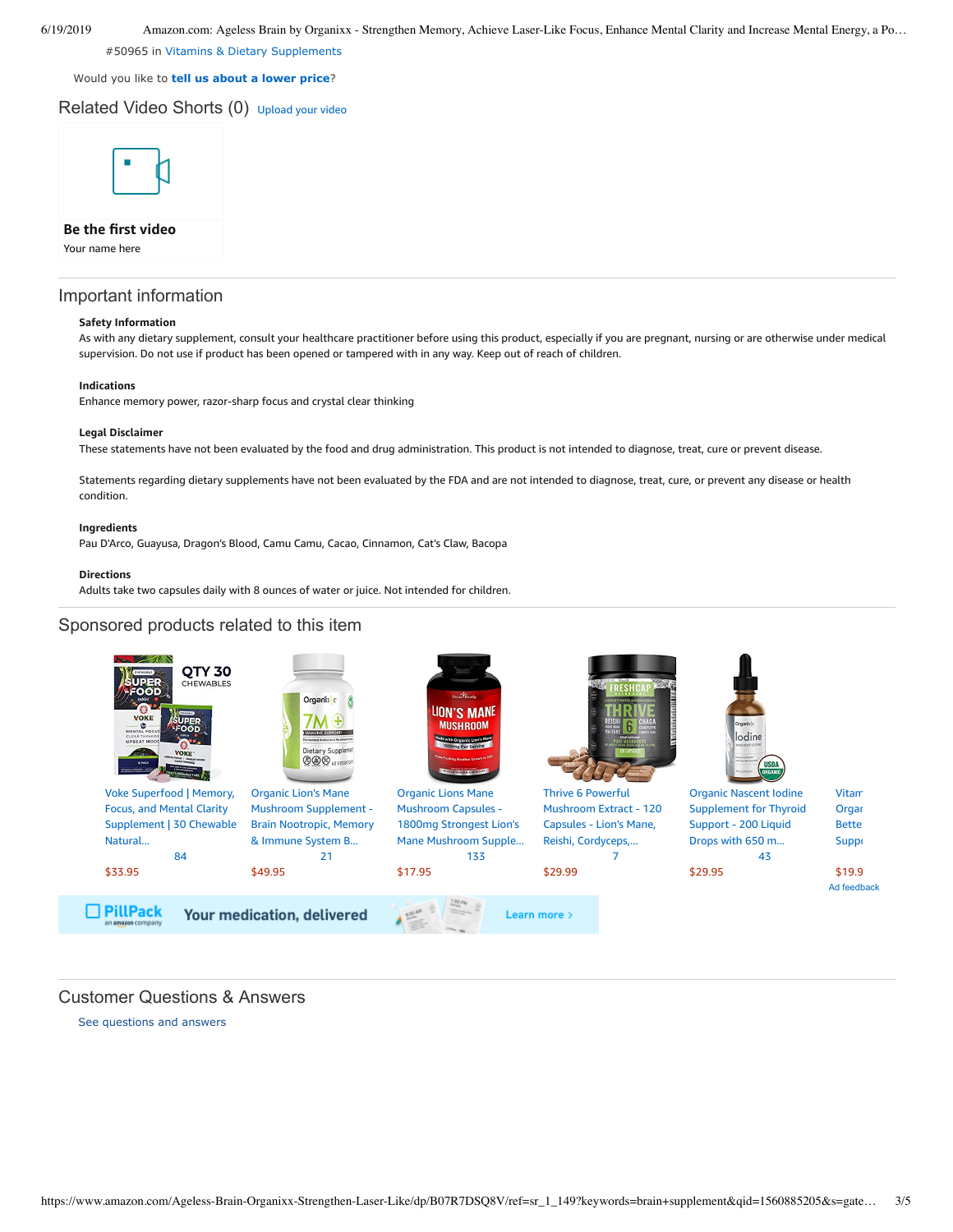#50965 in [Vitamins & Dietary Supplements](https://www.amazon.com/gp/bestsellers/hpc/3764441/ref=pd_zg_hrsr_hpc)

Would you like to **tell us about a lower price**?

Related Video Shorts (0) [Upload](https://www.amazon.com/creatorhub/video/upload?productASIN=B07R7DSQ8V&referringURL=ZHAvQjA3UjdEU1E4Vg%3D%3D&ref=RVSW) your video



### **Be the first video**

Your name here

#### Important information

#### **Safety Information**

As with any dietary supplement, consult your healthcare practitioner before using this product, especially if you are pregnant, nursing or are otherwise under medical supervision. Do not use if product has been opened or tampered with in any way. Keep out of reach of children.

#### **Indications**

Enhance memory power, razor-sharp focus and crystal clear thinking

#### **Legal Disclaimer**

These statements have not been evaluated by the food and drug administration. This product is not intended to diagnose, treat, cure or prevent disease.

Statements regarding dietary supplements have not been evaluated by the FDA and are not intended to diagnose, treat, cure, or prevent any disease or health condition.

#### **Ingredients**

Pau D'Arco, Guayusa, Dragon's Blood, Camu Camu, Cacao, Cinnamon, Cat's Claw, Bacopa

#### **Directions**

Adults take two capsules daily with 8 ounces of water or juice. Not intended for children.

### Sponsored products related to this item



## Customer Questions & Answers

[See questions and answers](https://www.amazon.com/ask/questions/asin/B07R7DSQ8V/ref=cm_cd_dp_lla_ql_ll)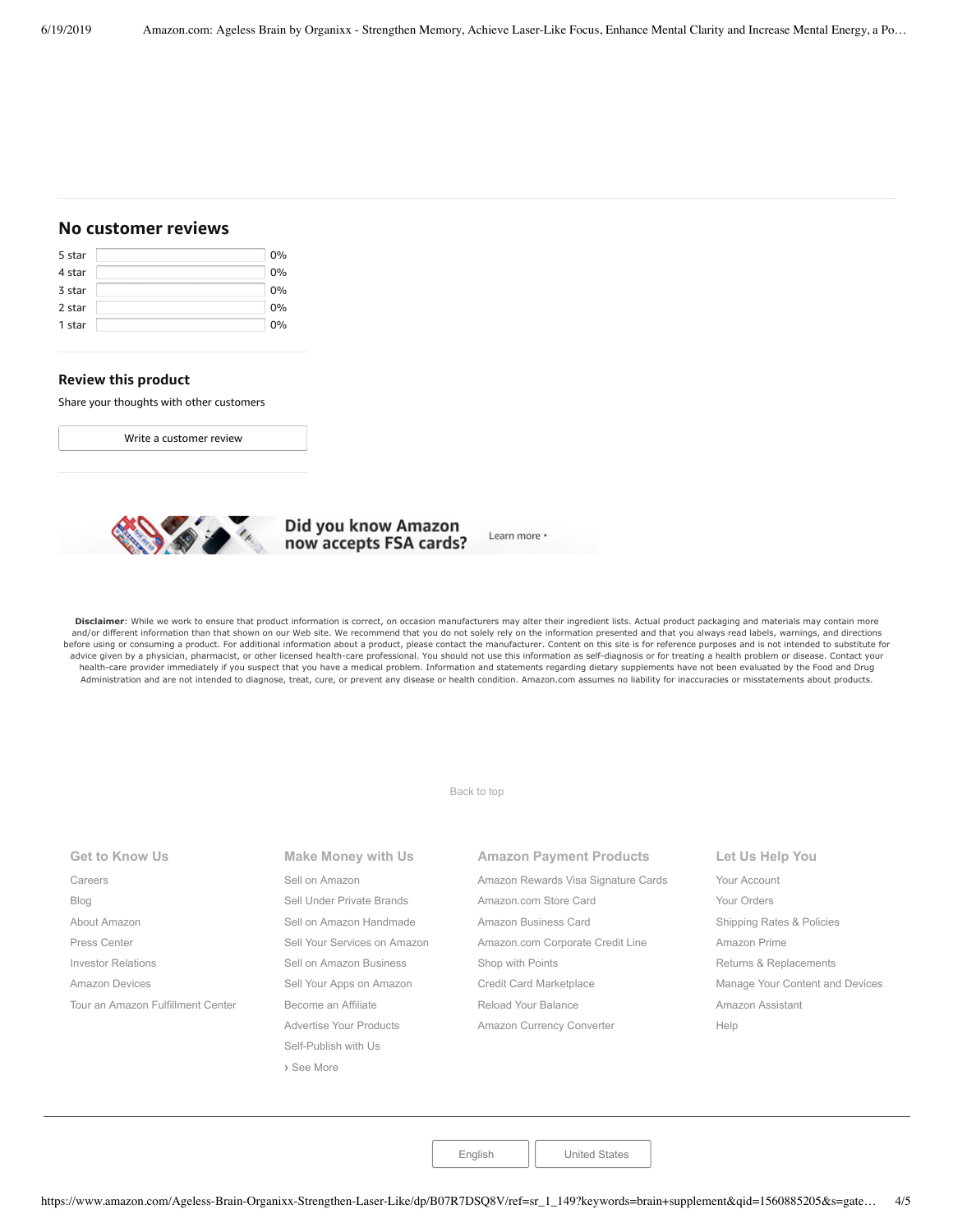## **No customer reviews**

| 5 star | 0% |
|--------|----|
| 4 star | 0% |
| 3 star | 0% |
| 2 star | 0% |
| 1 star | 0% |

#### **Review this product**

Share your thoughts with other customers

Write a [customer](https://www.amazon.com/review/create-review/ref=cm_cr_dp_d_wr_but_top?ie=UTF8&channel=glance-detail&asin=B07R7DSQ8V) review



# Did you know Amazon<br>now accepts FSA cards?

Learn more \*

Disclaimer: While we work to ensure that product information is correct, on occasion manufacturers may alter their ingredient lists. Actual product packaging and materials may contain more and/or different information than that shown on our Web site. We recommend that you do not solely rely on the information presented and that you always read labels, warnings, and directions before using or consuming a product. For additional information about a product, please contact the manufacturer. Content on this site is for reference purposes and is not intended to substitute for advice given by a physician, pharmacist, or other licensed health-care professional. You should not use this information as self-diagnosis or for treating a health problem or disease. Contact your health-care provider immediately if you suspect that you have a medical problem. Information and statements regarding dietary supplements have not been evaluated by the Food and Drug Administration and are not intended to diagnose, treat, cure, or prevent any disease or health condition. Amazon.com assumes no liability for inaccuracies or misstatements about products.

[Back to top](#page-0-0)

| <b>Get to Know Us</b>             | <b>Make Money with Us</b>    | <b>Amazon Payment Products</b>                      | Let Us Help You                 |
|-----------------------------------|------------------------------|-----------------------------------------------------|---------------------------------|
| Careers                           | Sell on Amazon               | Amazon Rewards Visa Signature Cards<br>Your Account |                                 |
| Blog                              | Sell Under Private Brands    | Amazon.com Store Card                               | Your Orders                     |
| About Amazon                      | Sell on Amazon Handmade      | Amazon Business Card                                | Shipping Rates & Policies       |
| Press Center                      | Sell Your Services on Amazon | Amazon.com Corporate Credit Line                    | Amazon Prime                    |
| <b>Investor Relations</b>         | Sell on Amazon Business      | Shop with Points                                    | Returns & Replacements          |
| Amazon Devices                    | Sell Your Apps on Amazon     | <b>Credit Card Marketplace</b>                      | Manage Your Content and Devices |
| Tour an Amazon Fulfillment Center | Become an Affiliate          | Reload Your Balance                                 | Amazon Assistant                |
|                                   | Advertise Your Products      | Amazon Currency Converter                           | Help                            |
|                                   | Self-Publish with Us         |                                                     |                                 |
|                                   | > See More                   |                                                     |                                 |

[English](https://www.amazon.com/gp/customer-preferences/select-language/ref=footer_lang?ie=UTF8&preferencesReturnUrl=%2FAgeless-Brain-Organixx-Strengthen-Laser-Like%2Fdp%2FB07R7DSQ8V%2Fref%3Dsr_1_149%3Fkeywords%3Dbrain%2Bsupplement%26qid%3D1560885205%26s%3Dgateway%26sr%3D8-149) | [United States](https://www.amazon.com/gp/navigation-country/select-country/ref=?ie=UTF8&preferencesReturnUrl=%2FAgeless-Brain-Organixx-Strengthen-Laser-Like%2Fdp%2FB07R7DSQ8V%2Fref%3Dsr_1_149%3Fkeywords%3Dbrain%2Bsupplement%26qid%3D1560885205%26s%3Dgateway%26sr%3D8-149)